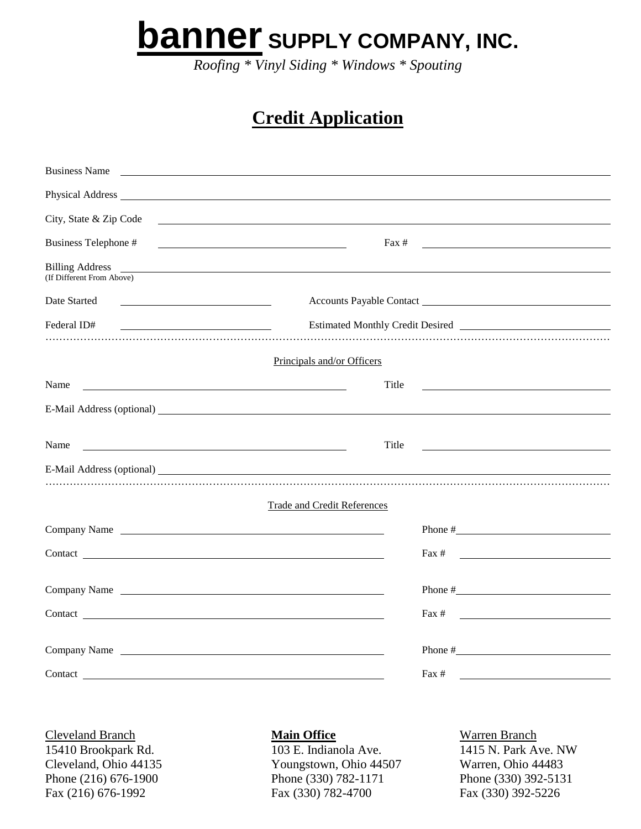**banner SUPPLY COMPANY, INC.**

*Roofing \* Vinyl Siding \* Windows \* Spouting*

## **Credit Application**

| <b>Business Name</b><br><u> 1989 - Johann Stoff, amerikansk politiker (d. 1989)</u>                                                                                                                                                                                                                  |                                                                         |
|------------------------------------------------------------------------------------------------------------------------------------------------------------------------------------------------------------------------------------------------------------------------------------------------------|-------------------------------------------------------------------------|
|                                                                                                                                                                                                                                                                                                      |                                                                         |
| City, State & Zip Code<br><u> 1989 - Jan Samuel Barbara, martin da shekara tsara 1989 - Andrea Samuel Barbara, mashrida a shekara tsara 19</u>                                                                                                                                                       |                                                                         |
| Business Telephone #<br><u> 1989 - Johann Stein, fransk politik (d. 1989)</u>                                                                                                                                                                                                                        | $\text{Fax} \#$                                                         |
| Billing Address <u>New York: New York: New York: New York: New York: New York: New York: New York: New York: New York: New York: New York: New York: New York: New York: New York: New York: New York: New York: New York: New Y</u><br>(If Different From Above)                                    |                                                                         |
| Date Started<br><u> 1989 - Johann Stoff, amerikansk politiker (</u>                                                                                                                                                                                                                                  | Accounts Payable Contact Lawrence and Accounts Payable Contact          |
| Federal ID#<br><u> 1989 - Johann Barbara, martin amerikan basar dan basa dan basa dan basa dalam basa dalam basa dalam basa dala</u>                                                                                                                                                                 | Estimated Monthly Credit Desired<br><u>Letter and American property</u> |
| Principals and/or Officers                                                                                                                                                                                                                                                                           |                                                                         |
| Name<br><u>state and the state of the state of the state of the state of the state of the state of the state of the state of the state of the state of the state of the state of the state of the state of the state of the state of the</u>                                                         | Title                                                                   |
|                                                                                                                                                                                                                                                                                                      |                                                                         |
| Name                                                                                                                                                                                                                                                                                                 | Title                                                                   |
|                                                                                                                                                                                                                                                                                                      |                                                                         |
| <b>Trade and Credit References</b>                                                                                                                                                                                                                                                                   |                                                                         |
| Company Name <b>Company</b> Name <b>Company</b> Name <b>Company</b> Name <b>Company</b> Name <b>Company</b> Name <b>Company</b> Name <b>Company</b> Name <b>Company</b> Name <b>Company</b> Name <b>Company</b> Name <b>Company</b> Name <b>Company</b> Name <b>Company</b> Name <b>Company</b> Name |                                                                         |
| Contact <u>contact</u>                                                                                                                                                                                                                                                                               | <u> 1989 - Johann Stone, mars et al.</u><br>$\text{Fax } #$             |
| Company Name                                                                                                                                                                                                                                                                                         |                                                                         |
| Contact <u>contact</u>                                                                                                                                                                                                                                                                               | Fax $#$<br><u> 1980 - Johann Barnett, fransk politik (d. 1980)</u>      |
| Company Name                                                                                                                                                                                                                                                                                         |                                                                         |
| Contact contact contact contact contact contact contact contact contact contact contact contact contact contact contact contact contact contact contact contact contact contact contact contact contact contact contact contac                                                                       | $\text{Fax } #$                                                         |
|                                                                                                                                                                                                                                                                                                      |                                                                         |

**Cleveland Branch Main Office** Warren Branch 15410 Brookpark Rd. 103 E. Indianola Ave. 1415 N. Park Ave. NW

Cleveland, Ohio 44135 Youngstown, Ohio 44507 Warren, Ohio 44483 Phone (216) 676-1900 Phone (330) 782-1171 Phone (330) 392-5131 Fax (216) 676-1992 Fax (330) 782-4700 Fax (330) 392-5226